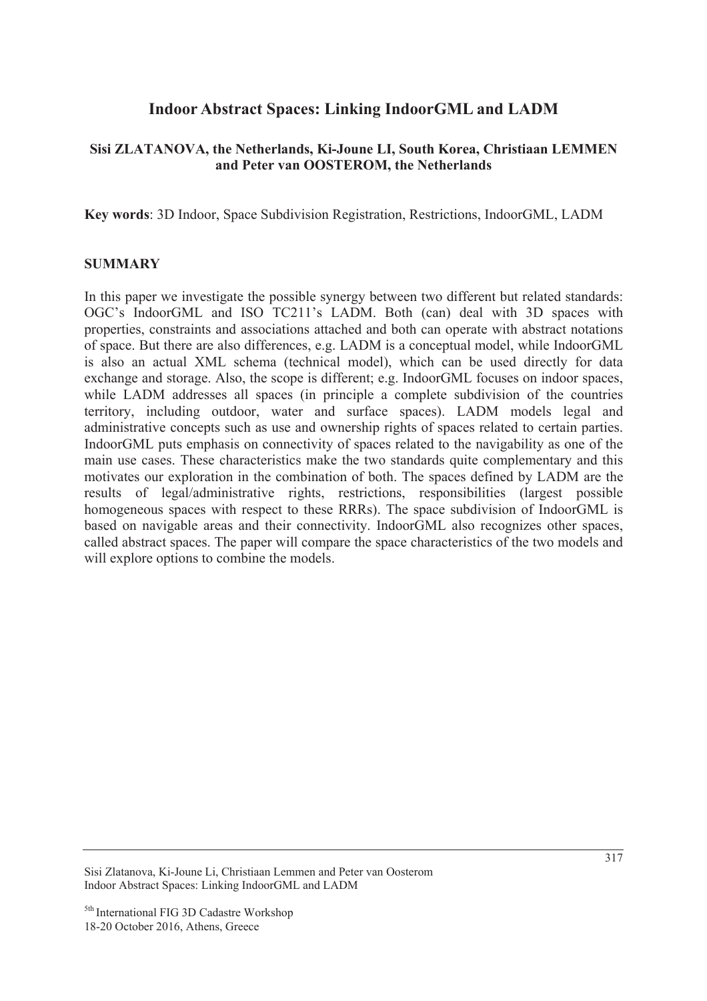# **Indoor Abstract Spaces: Linking IndoorGML and LADM**

## **Sisi ZLATANOVA, the Netherlands, Ki-Joune LI, South Korea, Christiaan LEMMEN and Peter van OOSTEROM, the Netherlands**

**Key words**: 3D Indoor, Space Subdivision Registration, Restrictions, IndoorGML, LADM

### **SUMMARY**

In this paper we investigate the possible synergy between two different but related standards: OGC's IndoorGML and ISO TC211's LADM. Both (can) deal with 3D spaces with properties, constraints and associations attached and both can operate with abstract notations of space. But there are also differences, e.g. LADM is a conceptual model, while IndoorGML is also an actual XML schema (technical model), which can be used directly for data exchange and storage. Also, the scope is different; e.g. IndoorGML focuses on indoor spaces, while LADM addresses all spaces (in principle a complete subdivision of the countries territory, including outdoor, water and surface spaces). LADM models legal and administrative concepts such as use and ownership rights of spaces related to certain parties. IndoorGML puts emphasis on connectivity of spaces related to the navigability as one of the main use cases. These characteristics make the two standards quite complementary and this motivates our exploration in the combination of both. The spaces defined by LADM are the results of legal/administrative rights, restrictions, responsibilities (largest possible homogeneous spaces with respect to these RRRs). The space subdivision of IndoorGML is based on navigable areas and their connectivity. IndoorGML also recognizes other spaces, called abstract spaces. The paper will compare the space characteristics of the two models and will explore options to combine the models.

Sisi Zlatanova, Ki-Joune Li, Christiaan Lemmen and Peter van Oosterom Indoor Abstract Spaces: Linking IndoorGML and LADM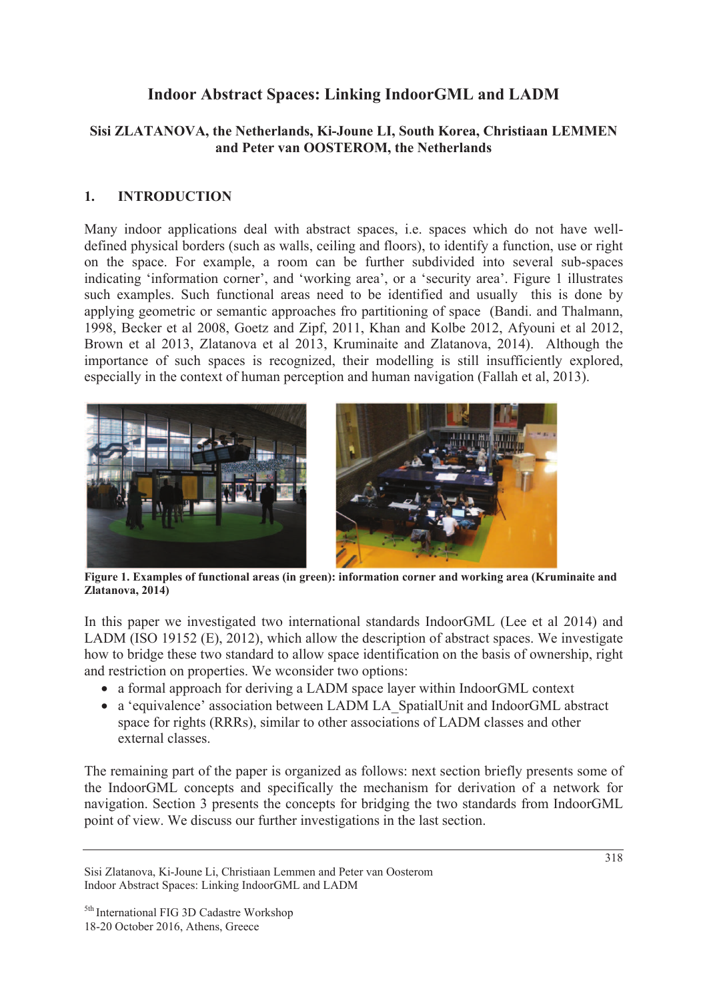# **Indoor Abstract Spaces: Linking IndoorGML and LADM**

## **Sisi ZLATANOVA, the Netherlands, Ki-Joune LI, South Korea, Christiaan LEMMEN and Peter van OOSTEROM, the Netherlands**

## **1. INTRODUCTION**

Many indoor applications deal with abstract spaces, i.e. spaces which do not have welldefined physical borders (such as walls, ceiling and floors), to identify a function, use or right on the space. For example, a room can be further subdivided into several sub-spaces indicating 'information corner', and 'working area', or a 'security area'. Figure 1 illustrates such examples. Such functional areas need to be identified and usually this is done by applying geometric or semantic approaches fro partitioning of space (Bandi. and Thalmann, 1998, Becker et al 2008, Goetz and Zipf, 2011, Khan and Kolbe 2012, Afyouni et al 2012, Brown et al 2013, Zlatanova et al 2013, Kruminaite and Zlatanova, 2014). Although the importance of such spaces is recognized, their modelling is still insufficiently explored, especially in the context of human perception and human navigation (Fallah et al, 2013).



**Figure 1. Examples of functional areas (in green): information corner and working area (Kruminaite and Zlatanova, 2014)** 

In this paper we investigated two international standards IndoorGML (Lee et al 2014) and LADM (ISO 19152 (E), 2012), which allow the description of abstract spaces. We investigate how to bridge these two standard to allow space identification on the basis of ownership, right and restriction on properties. We wconsider two options:

- a formal approach for deriving a LADM space layer within IndoorGML context
- a 'equivalence' association between LADM LA\_SpatialUnit and IndoorGML abstract space for rights (RRRs), similar to other associations of LADM classes and other external classes.

The remaining part of the paper is organized as follows: next section briefly presents some of the IndoorGML concepts and specifically the mechanism for derivation of a network for navigation. Section 3 presents the concepts for bridging the two standards from IndoorGML point of view. We discuss our further investigations in the last section.

Sisi Zlatanova, Ki-Joune Li, Christiaan Lemmen and Peter van Oosterom Indoor Abstract Spaces: Linking IndoorGML and LADM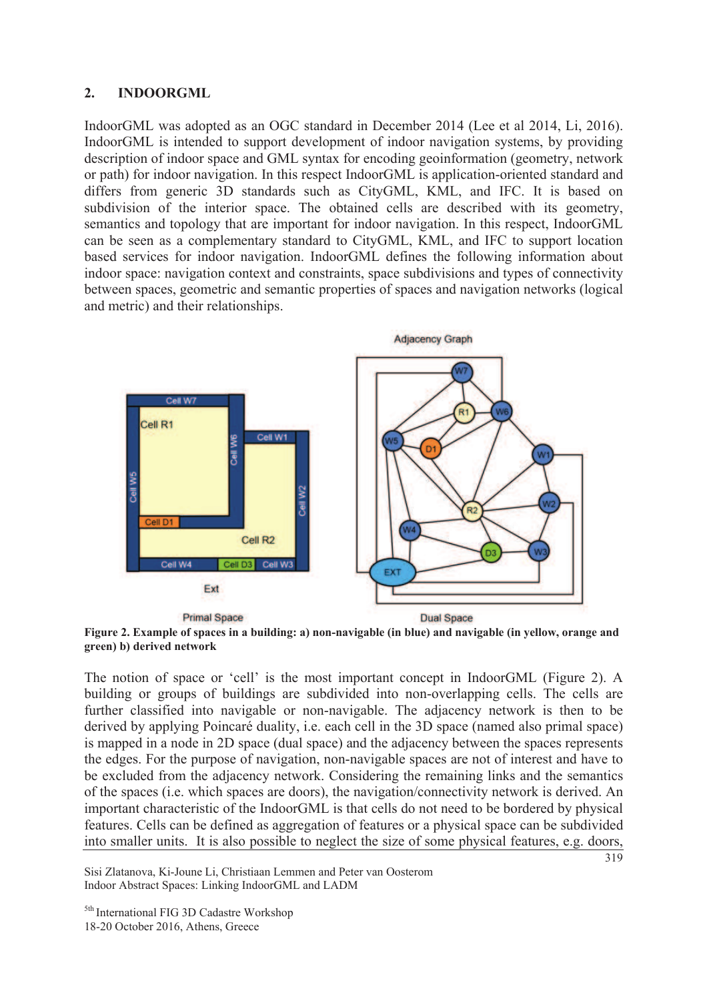### **2. INDOORGML**

IndoorGML was adopted as an OGC standard in December 2014 (Lee et al 2014, Li, 2016). IndoorGML is intended to support development of indoor navigation systems, by providing description of indoor space and GML syntax for encoding geoinformation (geometry, network or path) for indoor navigation. In this respect IndoorGML is application-oriented standard and differs from generic 3D standards such as CityGML, KML, and IFC. It is based on subdivision of the interior space. The obtained cells are described with its geometry, semantics and topology that are important for indoor navigation. In this respect, IndoorGML can be seen as a complementary standard to CityGML, KML, and IFC to support location based services for indoor navigation. IndoorGML defines the following information about indoor space: navigation context and constraints, space subdivisions and types of connectivity between spaces, geometric and semantic properties of spaces and navigation networks (logical and metric) and their relationships.



**Figure 2. Example of spaces in a building: a) non-navigable (in blue) and navigable (in yellow, orange and green) b) derived network** 

The notion of space or 'cell' is the most important concept in IndoorGML (Figure 2). A building or groups of buildings are subdivided into non-overlapping cells. The cells are further classified into navigable or non-navigable. The adjacency network is then to be derived by applying Poincaré duality, i.e. each cell in the 3D space (named also primal space) is mapped in a node in 2D space (dual space) and the adjacency between the spaces represents the edges. For the purpose of navigation, non-navigable spaces are not of interest and have to be excluded from the adjacency network. Considering the remaining links and the semantics of the spaces (i.e. which spaces are doors), the navigation/connectivity network is derived. An important characteristic of the IndoorGML is that cells do not need to be bordered by physical features. Cells can be defined as aggregation of features or a physical space can be subdivided into smaller units. It is also possible to neglect the size of some physical features, e.g. doors,

Sisi Zlatanova, Ki-Joune Li, Christiaan Lemmen and Peter van Oosterom Indoor Abstract Spaces: Linking IndoorGML and LADM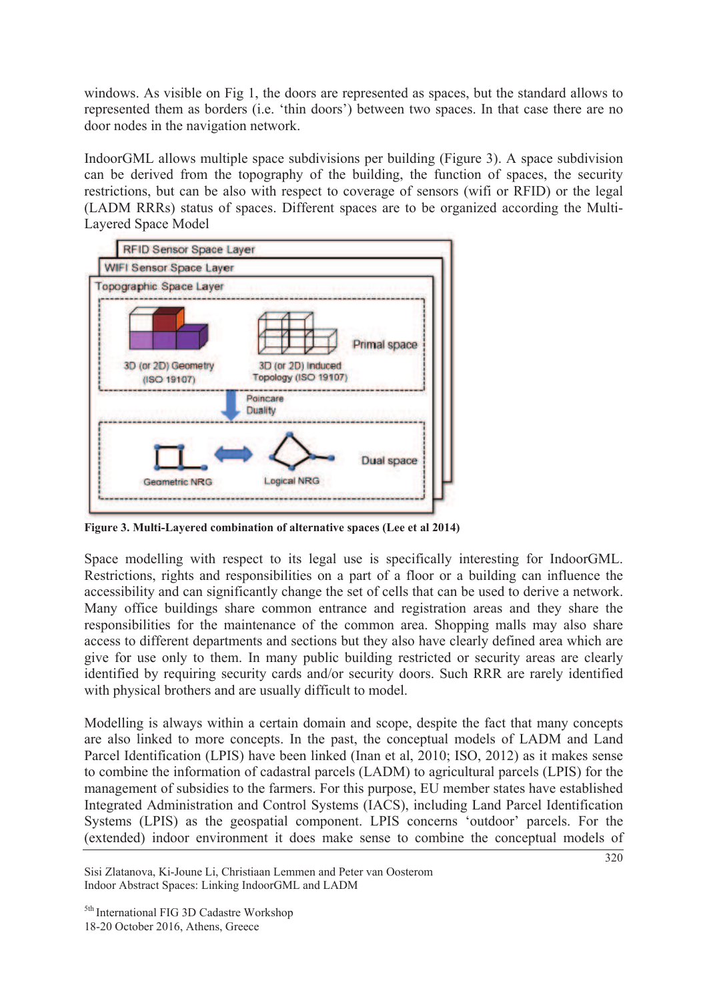windows. As visible on Fig 1, the doors are represented as spaces, but the standard allows to represented them as borders (i.e. 'thin doors') between two spaces. In that case there are no door nodes in the navigation network.

IndoorGML allows multiple space subdivisions per building (Figure 3). A space subdivision can be derived from the topography of the building, the function of spaces, the security restrictions, but can be also with respect to coverage of sensors (wifi or RFID) or the legal (LADM RRRs) status of spaces. Different spaces are to be organized according the Multi-Layered Space Model



**Figure 3. Multi-Layered combination of alternative spaces (Lee et al 2014)** 

Space modelling with respect to its legal use is specifically interesting for IndoorGML. Restrictions, rights and responsibilities on a part of a floor or a building can influence the accessibility and can significantly change the set of cells that can be used to derive a network. Many office buildings share common entrance and registration areas and they share the responsibilities for the maintenance of the common area. Shopping malls may also share access to different departments and sections but they also have clearly defined area which are give for use only to them. In many public building restricted or security areas are clearly identified by requiring security cards and/or security doors. Such RRR are rarely identified with physical brothers and are usually difficult to model.

Modelling is always within a certain domain and scope, despite the fact that many concepts are also linked to more concepts. In the past, the conceptual models of LADM and Land Parcel Identification (LPIS) have been linked (Inan et al, 2010; ISO, 2012) as it makes sense to combine the information of cadastral parcels (LADM) to agricultural parcels (LPIS) for the management of subsidies to the farmers. For this purpose, EU member states have established Integrated Administration and Control Systems (IACS), including Land Parcel Identification Systems (LPIS) as the geospatial component. LPIS concerns 'outdoor' parcels. For the (extended) indoor environment it does make sense to combine the conceptual models of

Sisi Zlatanova, Ki-Joune Li, Christiaan Lemmen and Peter van Oosterom Indoor Abstract Spaces: Linking IndoorGML and LADM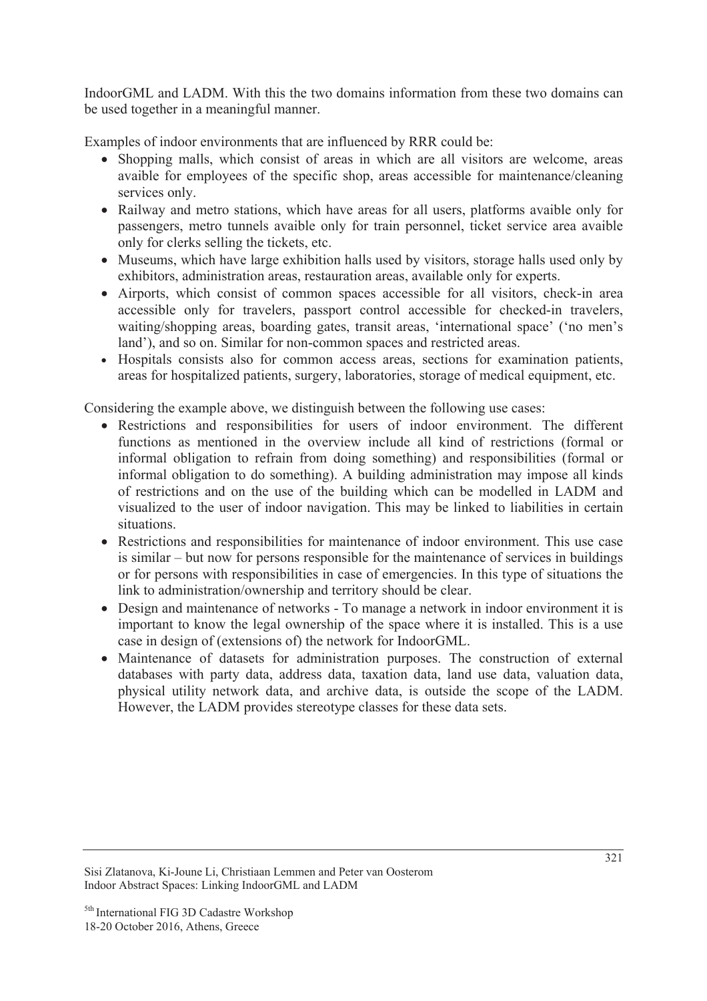IndoorGML and LADM. With this the two domains information from these two domains can be used together in a meaningful manner.

Examples of indoor environments that are influenced by RRR could be:

- Shopping malls, which consist of areas in which are all visitors are welcome, areas avaible for employees of the specific shop, areas accessible for maintenance/cleaning services only.
- Railway and metro stations, which have areas for all users, platforms avaible only for passengers, metro tunnels avaible only for train personnel, ticket service area avaible only for clerks selling the tickets, etc.
- Museums, which have large exhibition halls used by visitors, storage halls used only by exhibitors, administration areas, restauration areas, available only for experts.
- Airports, which consist of common spaces accessible for all visitors, check-in area accessible only for travelers, passport control accessible for checked-in travelers, waiting/shopping areas, boarding gates, transit areas, 'international space' ('no men's land'), and so on. Similar for non-common spaces and restricted areas.
- Hospitals consists also for common access areas, sections for examination patients, areas for hospitalized patients, surgery, laboratories, storage of medical equipment, etc.

Considering the example above, we distinguish between the following use cases:

- Restrictions and responsibilities for users of indoor environment. The different functions as mentioned in the overview include all kind of restrictions (formal or informal obligation to refrain from doing something) and responsibilities (formal or informal obligation to do something). A building administration may impose all kinds of restrictions and on the use of the building which can be modelled in LADM and visualized to the user of indoor navigation. This may be linked to liabilities in certain situations.
- Restrictions and responsibilities for maintenance of indoor environment. This use case is similar – but now for persons responsible for the maintenance of services in buildings or for persons with responsibilities in case of emergencies. In this type of situations the link to administration/ownership and territory should be clear.
- Design and maintenance of networks To manage a network in indoor environment it is important to know the legal ownership of the space where it is installed. This is a use case in design of (extensions of) the network for IndoorGML.
- Maintenance of datasets for administration purposes. The construction of external databases with party data, address data, taxation data, land use data, valuation data, physical utility network data, and archive data, is outside the scope of the LADM. However, the LADM provides stereotype classes for these data sets.

Sisi Zlatanova, Ki-Joune Li, Christiaan Lemmen and Peter van Oosterom Indoor Abstract Spaces: Linking IndoorGML and LADM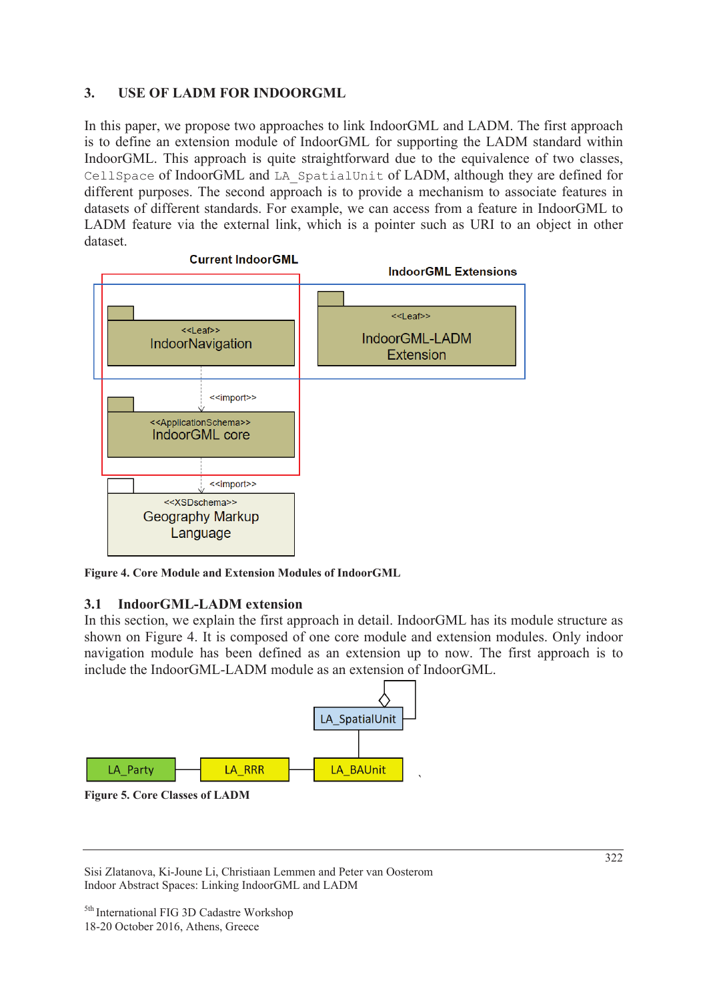### **3. USE OF LADM FOR INDOORGML**

In this paper, we propose two approaches to link IndoorGML and LADM. The first approach is to define an extension module of IndoorGML for supporting the LADM standard within IndoorGML. This approach is quite straightforward due to the equivalence of two classes, CellSpace of IndoorGML and LA\_SpatialUnit of LADM, although they are defined for different purposes. The second approach is to provide a mechanism to associate features in datasets of different standards. For example, we can access from a feature in IndoorGML to LADM feature via the external link, which is a pointer such as URI to an object in other dataset.



**Figure 4. Core Module and Extension Modules of IndoorGML** 

### **3.1 IndoorGML-LADM extension**

In this section, we explain the first approach in detail. IndoorGML has its module structure as shown on Figure 4. It is composed of one core module and extension modules. Only indoor navigation module has been defined as an extension up to now. The first approach is to include the IndoorGML-LADM module as an extension of IndoorGML.





Sisi Zlatanova, Ki-Joune Li, Christiaan Lemmen and Peter van Oosterom Indoor Abstract Spaces: Linking IndoorGML and LADM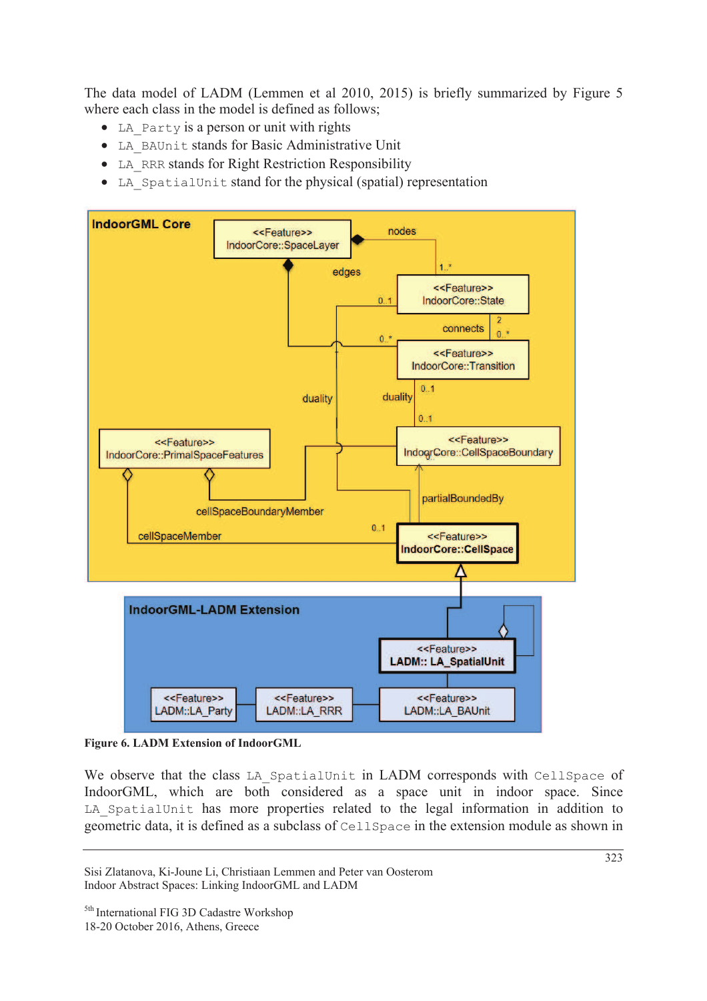The data model of LADM (Lemmen et al 2010, 2015) is briefly summarized by Figure 5 where each class in the model is defined as follows;

- LA Party is a person or unit with rights
- LA BAUnit stands for Basic Administrative Unit
- LA RRR stands for Right Restriction Responsibility
- LA SpatialUnit stand for the physical (spatial) representation



**Figure 6. LADM Extension of IndoorGML** 

We observe that the class LA SpatialUnit in LADM corresponds with CellSpace of IndoorGML, which are both considered as a space unit in indoor space. Since LA SpatialUnit has more properties related to the legal information in addition to geometric data, it is defined as a subclass of CellSpace in the extension module as shown in

Sisi Zlatanova, Ki-Joune Li, Christiaan Lemmen and Peter van Oosterom Indoor Abstract Spaces: Linking IndoorGML and LADM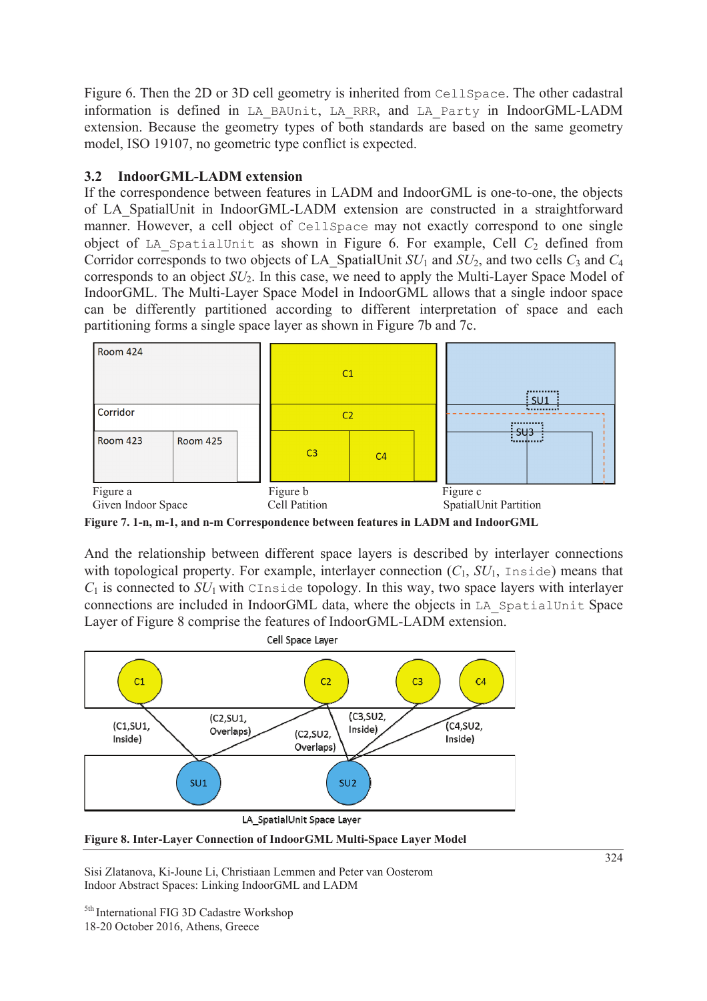Figure 6. Then the 2D or 3D cell geometry is inherited from CellSpace. The other cadastral information is defined in LA\_BAUnit, LA\_RRR, and LA\_Party in IndoorGML-LADM extension. Because the geometry types of both standards are based on the same geometry model, ISO 19107, no geometric type conflict is expected.

## **3.2 IndoorGML-LADM extension**

If the correspondence between features in LADM and IndoorGML is one-to-one, the objects of LA\_SpatialUnit in IndoorGML-LADM extension are constructed in a straightforward manner. However, a cell object of CellSpace may not exactly correspond to one single object of LA SpatialUnit as shown in Figure 6. For example, Cell  $C_2$  defined from Corridor corresponds to two objects of LA\_SpatialUnit  $SU_1$  and  $SU_2$ , and two cells  $C_3$  and  $C_4$ corresponds to an object *SU*2. In this case, we need to apply the Multi-Layer Space Model of IndoorGML. The Multi-Layer Space Model in IndoorGML allows that a single indoor space can be differently partitioned according to different interpretation of space and each partitioning forms a single space layer as shown in Figure 7b and 7c.



**Figure 7. 1-n, m-1, and n-m Correspondence between features in LADM and IndoorGML** 

And the relationship between different space layers is described by interlayer connections with topological property. For example, interlayer connection  $(C_1, SU_1, \text{Inside})$  means that  $C_1$  is connected to  $SU_1$  with CInside topology. In this way, two space layers with interlayer connections are included in IndoorGML data, where the objects in LA\_SpatialUnit Space Layer of Figure 8 comprise the features of IndoorGML-LADM extension.



LA\_SpatialUnit Space Layer

**Figure 8. Inter-Layer Connection of IndoorGML Multi-Space Layer Model** 

Sisi Zlatanova, Ki-Joune Li, Christiaan Lemmen and Peter van Oosterom Indoor Abstract Spaces: Linking IndoorGML and LADM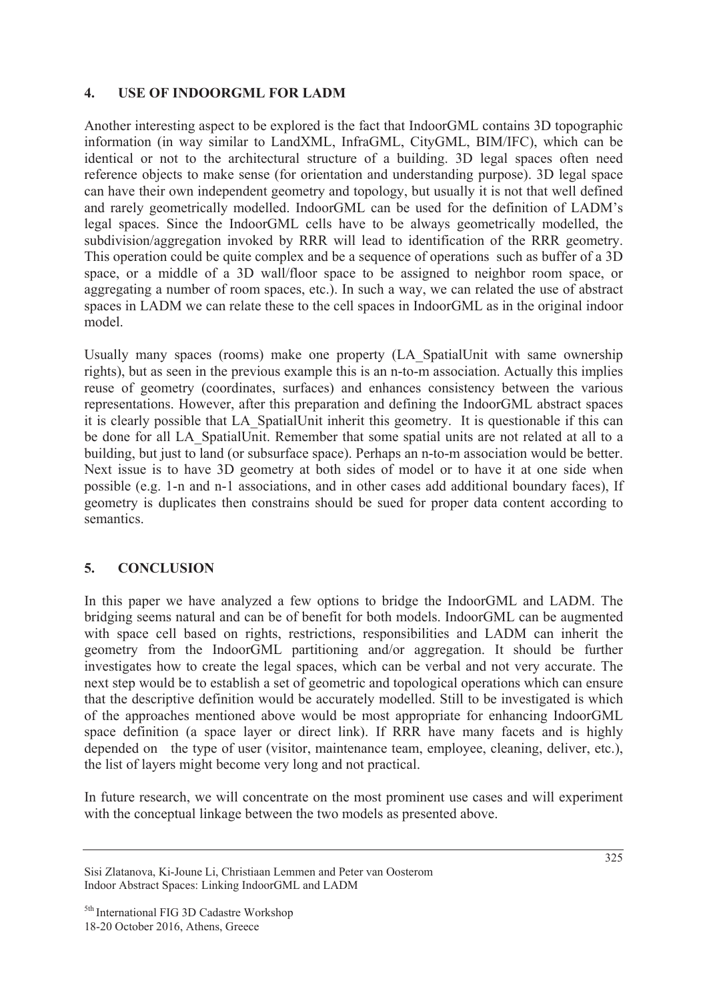#### **4. USE OF INDOORGML FOR LADM**

Another interesting aspect to be explored is the fact that IndoorGML contains 3D topographic information (in way similar to LandXML, InfraGML, CityGML, BIM/IFC), which can be identical or not to the architectural structure of a building. 3D legal spaces often need reference objects to make sense (for orientation and understanding purpose). 3D legal space can have their own independent geometry and topology, but usually it is not that well defined and rarely geometrically modelled. IndoorGML can be used for the definition of LADM's legal spaces. Since the IndoorGML cells have to be always geometrically modelled, the subdivision/aggregation invoked by RRR will lead to identification of the RRR geometry. This operation could be quite complex and be a sequence of operations such as buffer of a 3D space, or a middle of a 3D wall/floor space to be assigned to neighbor room space, or aggregating a number of room spaces, etc.). In such a way, we can related the use of abstract spaces in LADM we can relate these to the cell spaces in IndoorGML as in the original indoor model.

Usually many spaces (rooms) make one property (LA\_SpatialUnit with same ownership rights), but as seen in the previous example this is an n-to-m association. Actually this implies reuse of geometry (coordinates, surfaces) and enhances consistency between the various representations. However, after this preparation and defining the IndoorGML abstract spaces it is clearly possible that LA\_SpatialUnit inherit this geometry. It is questionable if this can be done for all LA SpatialUnit. Remember that some spatial units are not related at all to a building, but just to land (or subsurface space). Perhaps an n-to-m association would be better. Next issue is to have 3D geometry at both sides of model or to have it at one side when possible (e.g. 1-n and n-1 associations, and in other cases add additional boundary faces), If geometry is duplicates then constrains should be sued for proper data content according to semantics.

### **5. CONCLUSION**

In this paper we have analyzed a few options to bridge the IndoorGML and LADM. The bridging seems natural and can be of benefit for both models. IndoorGML can be augmented with space cell based on rights, restrictions, responsibilities and LADM can inherit the geometry from the IndoorGML partitioning and/or aggregation. It should be further investigates how to create the legal spaces, which can be verbal and not very accurate. The next step would be to establish a set of geometric and topological operations which can ensure that the descriptive definition would be accurately modelled. Still to be investigated is which of the approaches mentioned above would be most appropriate for enhancing IndoorGML space definition (a space layer or direct link). If RRR have many facets and is highly depended on the type of user (visitor, maintenance team, employee, cleaning, deliver, etc.), the list of layers might become very long and not practical.

In future research, we will concentrate on the most prominent use cases and will experiment with the conceptual linkage between the two models as presented above.

Sisi Zlatanova, Ki-Joune Li, Christiaan Lemmen and Peter van Oosterom Indoor Abstract Spaces: Linking IndoorGML and LADM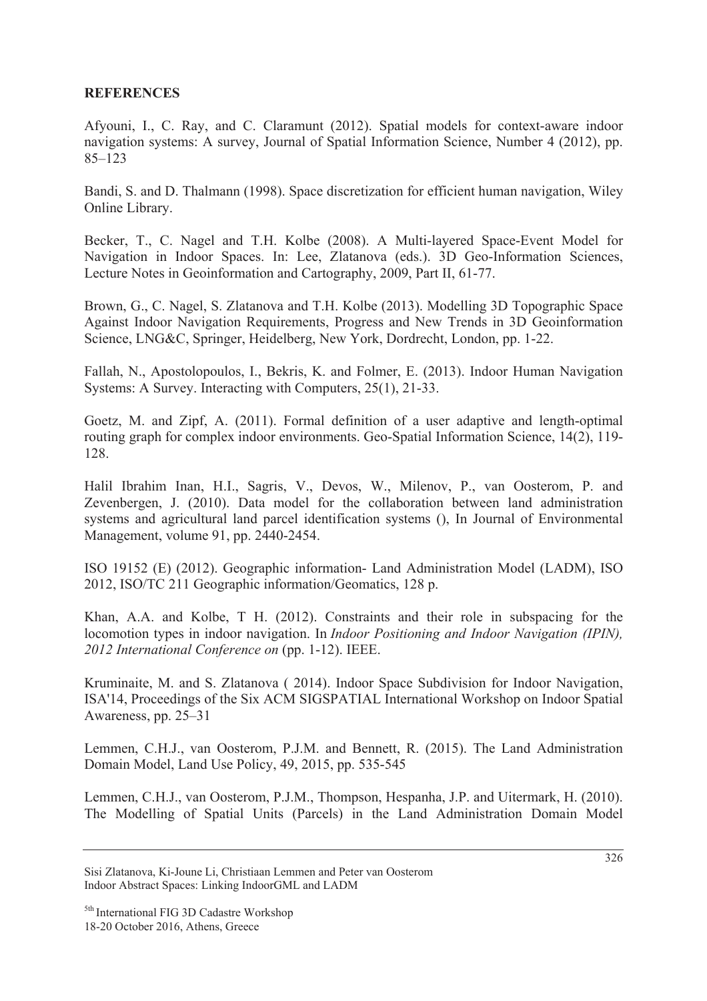#### **REFERENCES**

Afyouni, I., C. Ray, and C. Claramunt (2012). Spatial models for context-aware indoor navigation systems: A survey, Journal of Spatial Information Science, Number 4 (2012), pp. 85–123

Bandi, S. and D. Thalmann (1998). Space discretization for efficient human navigation, Wiley Online Library.

Becker, T., C. Nagel and T.H. Kolbe (2008). A Multi-layered Space-Event Model for Navigation in Indoor Spaces. In: Lee, Zlatanova (eds.). 3D Geo-Information Sciences, Lecture Notes in Geoinformation and Cartography, 2009, Part II, 61-77.

Brown, G., C. Nagel, S. Zlatanova and T.H. Kolbe (2013). Modelling 3D Topographic Space Against Indoor Navigation Requirements, Progress and New Trends in 3D Geoinformation Science, LNG&C, Springer, Heidelberg, New York, Dordrecht, London, pp. 1-22.

Fallah, N., Apostolopoulos, I., Bekris, K. and Folmer, E. (2013). Indoor Human Navigation Systems: A Survey. Interacting with Computers, 25(1), 21-33.

Goetz, M. and Zipf, A. (2011). Formal definition of a user adaptive and length-optimal routing graph for complex indoor environments. Geo-Spatial Information Science, 14(2), 119- 128.

Halil Ibrahim Inan, H.I., Sagris, V., Devos, W., Milenov, P., van Oosterom, P. and Zevenbergen, J. (2010). Data model for the collaboration between land administration systems and agricultural land parcel identification systems (), In Journal of Environmental Management, volume 91, pp. 2440-2454.

ISO 19152 (E) (2012). Geographic information- Land Administration Model (LADM), ISO 2012, ISO/TC 211 Geographic information/Geomatics, 128 p.

Khan, A.A. and Kolbe, T H. (2012). Constraints and their role in subspacing for the locomotion types in indoor navigation. In *Indoor Positioning and Indoor Navigation (IPIN), 2012 International Conference on* (pp. 1-12). IEEE.

Kruminaite, M. and S. Zlatanova ( 2014). Indoor Space Subdivision for Indoor Navigation, ISA'14, Proceedings of the Six ACM SIGSPATIAL International Workshop on Indoor Spatial Awareness, pp. 25–31

Lemmen, C.H.J., van Oosterom, P.J.M. and Bennett, R. (2015). The Land Administration Domain Model, Land Use Policy, 49, 2015, pp. 535-545

Lemmen, C.H.J., van Oosterom, P.J.M., Thompson, Hespanha, J.P. and Uitermark, H. (2010). The Modelling of Spatial Units (Parcels) in the Land Administration Domain Model

Sisi Zlatanova, Ki-Joune Li, Christiaan Lemmen and Peter van Oosterom Indoor Abstract Spaces: Linking IndoorGML and LADM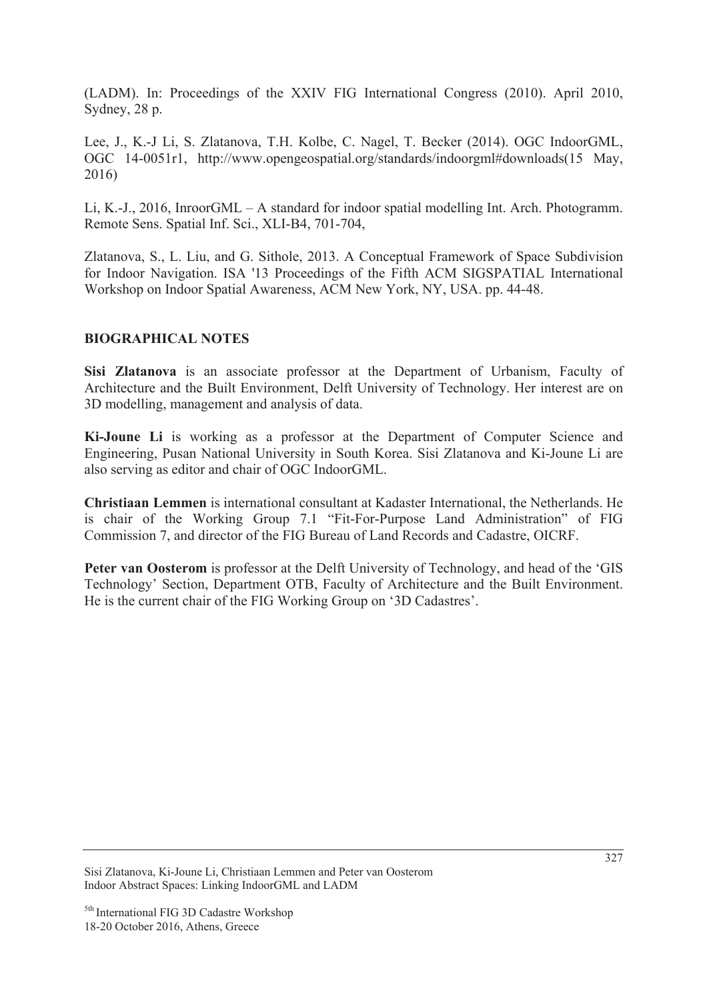(LADM). In: Proceedings of the XXIV FIG International Congress (2010). April 2010, Sydney, 28 p.

Lee, J., K.-J Li, S. Zlatanova, T.H. Kolbe, C. Nagel, T. Becker (2014). OGC IndoorGML, OGC 14-0051r1, http://www.opengeospatial.org/standards/indoorgml#downloads(15 May, 2016)

Li, K.-J., 2016, InroorGML – A standard for indoor spatial modelling Int. Arch. Photogramm. Remote Sens. Spatial Inf. Sci., XLI-B4, 701-704,

Zlatanova, S., L. Liu, and G. Sithole, 2013. A Conceptual Framework of Space Subdivision for Indoor Navigation. ISA '13 Proceedings of the Fifth ACM SIGSPATIAL International Workshop on Indoor Spatial Awareness, ACM New York, NY, USA. pp. 44-48.

#### **BIOGRAPHICAL NOTES**

**Sisi Zlatanova** is an associate professor at the Department of Urbanism, Faculty of Architecture and the Built Environment, Delft University of Technology. Her interest are on 3D modelling, management and analysis of data.

**Ki-Joune Li** is working as a professor at the Department of Computer Science and Engineering, Pusan National University in South Korea. Sisi Zlatanova and Ki-Joune Li are also serving as editor and chair of OGC IndoorGML.

**Christiaan Lemmen** is international consultant at Kadaster International, the Netherlands. He is chair of the Working Group 7.1 "Fit-For-Purpose Land Administration" of FIG Commission 7, and director of the FIG Bureau of Land Records and Cadastre, OICRF.

Peter van Oosterom is professor at the Delft University of Technology, and head of the 'GIS Technology' Section, Department OTB, Faculty of Architecture and the Built Environment. He is the current chair of the FIG Working Group on '3D Cadastres'.

Sisi Zlatanova, Ki-Joune Li, Christiaan Lemmen and Peter van Oosterom Indoor Abstract Spaces: Linking IndoorGML and LADM